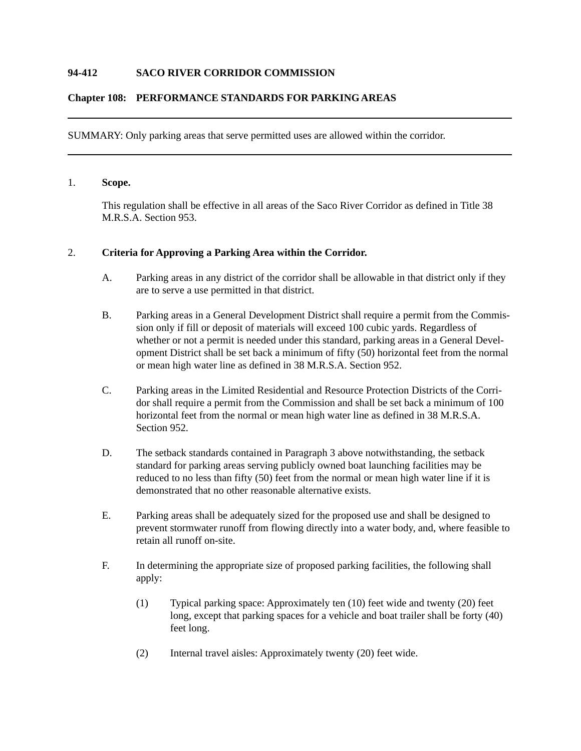## **94-412 SACO RIVER CORRIDOR COMMISSION**

### **Chapter 108: PERFORMANCE STANDARDS FOR PARKING AREAS**

SUMMARY: Only parking areas that serve permitted uses are allowed within the corridor.

### 1. **Scope.**

This regulation shall be effective in all areas of the Saco River Corridor as defined in Title 38 M.R.S.A. Section 953.

#### 2. **Criteria for Approving a Parking Area within the Corridor.**

- A. Parking areas in any district of the corridor shall be allowable in that district only if they are to serve a use permitted in that district.
- B. Parking areas in a General Development District shall require a permit from the Commission only if fill or deposit of materials will exceed 100 cubic yards. Regardless of whether or not a permit is needed under this standard, parking areas in a General Development District shall be set back a minimum of fifty (50) horizontal feet from the normal or mean high water line as defined in 38 M.R.S.A. Section 952.
- C. Parking areas in the Limited Residential and Resource Protection Districts of the Corridor shall require a permit from the Commission and shall be set back a minimum of 100 horizontal feet from the normal or mean high water line as defined in 38 M.R.S.A. Section 952.
- D. The setback standards contained in Paragraph 3 above notwithstanding, the setback standard for parking areas serving publicly owned boat launching facilities may be reduced to no less than fifty (50) feet from the normal or mean high water line if it is demonstrated that no other reasonable alternative exists.
- E. Parking areas shall be adequately sized for the proposed use and shall be designed to prevent stormwater runoff from flowing directly into a water body, and, where feasible to retain all runoff on-site.
- F. In determining the appropriate size of proposed parking facilities, the following shall apply:
	- (1) Typical parking space: Approximately ten (10) feet wide and twenty (20) feet long, except that parking spaces for a vehicle and boat trailer shall be forty (40) feet long.
	- (2) Internal travel aisles: Approximately twenty (20) feet wide.